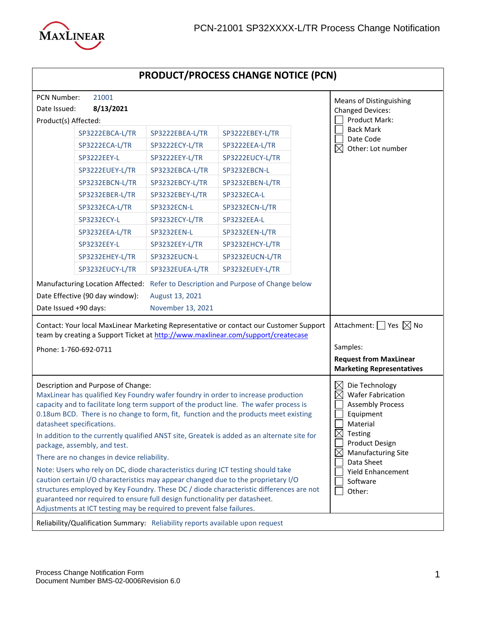

## **PRODUCT/PROCESS CHANGE NOTICE (PCN)**

| PCN Number:<br>21001<br><b>Means of Distinguishing</b>                                                                                                                                                                                                                                                                                                                                                                                                                                                                                                                                                                                                                                                                                                                                                                                                                                                                                          |                                                                                   |                                          |                 |  |                                                                                                                                                                                                                                                                        |  |
|-------------------------------------------------------------------------------------------------------------------------------------------------------------------------------------------------------------------------------------------------------------------------------------------------------------------------------------------------------------------------------------------------------------------------------------------------------------------------------------------------------------------------------------------------------------------------------------------------------------------------------------------------------------------------------------------------------------------------------------------------------------------------------------------------------------------------------------------------------------------------------------------------------------------------------------------------|-----------------------------------------------------------------------------------|------------------------------------------|-----------------|--|------------------------------------------------------------------------------------------------------------------------------------------------------------------------------------------------------------------------------------------------------------------------|--|
| Date Issued:                                                                                                                                                                                                                                                                                                                                                                                                                                                                                                                                                                                                                                                                                                                                                                                                                                                                                                                                    | 8/13/2021                                                                         | <b>Changed Devices:</b><br>Product Mark: |                 |  |                                                                                                                                                                                                                                                                        |  |
| Product(s) Affected:                                                                                                                                                                                                                                                                                                                                                                                                                                                                                                                                                                                                                                                                                                                                                                                                                                                                                                                            |                                                                                   |                                          |                 |  |                                                                                                                                                                                                                                                                        |  |
|                                                                                                                                                                                                                                                                                                                                                                                                                                                                                                                                                                                                                                                                                                                                                                                                                                                                                                                                                 | SP3222EBCA-L/TR                                                                   | SP3222EBEA-L/TR                          | SP3222EBEY-L/TR |  | <b>Back Mark</b><br>Date Code                                                                                                                                                                                                                                          |  |
|                                                                                                                                                                                                                                                                                                                                                                                                                                                                                                                                                                                                                                                                                                                                                                                                                                                                                                                                                 | SP3222ECA-L/TR                                                                    | SP3222ECY-L/TR                           | SP3222EEA-L/TR  |  | $\boxtimes$<br>Other: Lot number                                                                                                                                                                                                                                       |  |
|                                                                                                                                                                                                                                                                                                                                                                                                                                                                                                                                                                                                                                                                                                                                                                                                                                                                                                                                                 | SP3222EEY-L                                                                       | SP3222EEY-L/TR                           | SP3222EUCY-L/TR |  |                                                                                                                                                                                                                                                                        |  |
|                                                                                                                                                                                                                                                                                                                                                                                                                                                                                                                                                                                                                                                                                                                                                                                                                                                                                                                                                 | SP3222EUEY-L/TR                                                                   | SP3232EBCA-L/TR                          | SP3232EBCN-L    |  |                                                                                                                                                                                                                                                                        |  |
|                                                                                                                                                                                                                                                                                                                                                                                                                                                                                                                                                                                                                                                                                                                                                                                                                                                                                                                                                 | SP3232EBCN-L/TR                                                                   | SP3232EBCY-L/TR                          | SP3232EBEN-L/TR |  |                                                                                                                                                                                                                                                                        |  |
|                                                                                                                                                                                                                                                                                                                                                                                                                                                                                                                                                                                                                                                                                                                                                                                                                                                                                                                                                 | SP3232EBER-L/TR                                                                   | SP3232EBEY-L/TR                          | SP3232ECA-L     |  |                                                                                                                                                                                                                                                                        |  |
|                                                                                                                                                                                                                                                                                                                                                                                                                                                                                                                                                                                                                                                                                                                                                                                                                                                                                                                                                 | SP3232ECA-L/TR                                                                    | SP3232ECN-L                              | SP3232ECN-L/TR  |  |                                                                                                                                                                                                                                                                        |  |
|                                                                                                                                                                                                                                                                                                                                                                                                                                                                                                                                                                                                                                                                                                                                                                                                                                                                                                                                                 | SP3232ECY-L                                                                       | SP3232ECY-L/TR                           | SP3232EEA-L     |  |                                                                                                                                                                                                                                                                        |  |
|                                                                                                                                                                                                                                                                                                                                                                                                                                                                                                                                                                                                                                                                                                                                                                                                                                                                                                                                                 | SP3232EEA-L/TR                                                                    | SP3232EEN-L                              | SP3232EEN-L/TR  |  |                                                                                                                                                                                                                                                                        |  |
|                                                                                                                                                                                                                                                                                                                                                                                                                                                                                                                                                                                                                                                                                                                                                                                                                                                                                                                                                 | SP3232EEY-L                                                                       | SP3232EEY-L/TR                           | SP3232EHCY-L/TR |  |                                                                                                                                                                                                                                                                        |  |
|                                                                                                                                                                                                                                                                                                                                                                                                                                                                                                                                                                                                                                                                                                                                                                                                                                                                                                                                                 | SP3232EHEY-L/TR                                                                   | SP3232EUCN-L                             | SP3232EUCN-L/TR |  |                                                                                                                                                                                                                                                                        |  |
|                                                                                                                                                                                                                                                                                                                                                                                                                                                                                                                                                                                                                                                                                                                                                                                                                                                                                                                                                 | SP3232EUCY-L/TR                                                                   | SP3232EUEA-L/TR                          | SP3232EUEY-L/TR |  |                                                                                                                                                                                                                                                                        |  |
|                                                                                                                                                                                                                                                                                                                                                                                                                                                                                                                                                                                                                                                                                                                                                                                                                                                                                                                                                 | Manufacturing Location Affected: Refer to Description and Purpose of Change below |                                          |                 |  |                                                                                                                                                                                                                                                                        |  |
| Date Effective (90 day window):<br>August 13, 2021                                                                                                                                                                                                                                                                                                                                                                                                                                                                                                                                                                                                                                                                                                                                                                                                                                                                                              |                                                                                   |                                          |                 |  |                                                                                                                                                                                                                                                                        |  |
| Date Issued +90 days:<br>November 13, 2021                                                                                                                                                                                                                                                                                                                                                                                                                                                                                                                                                                                                                                                                                                                                                                                                                                                                                                      |                                                                                   |                                          |                 |  |                                                                                                                                                                                                                                                                        |  |
| Contact: Your local MaxLinear Marketing Representative or contact our Customer Support<br>team by creating a Support Ticket at http://www.maxlinear.com/support/createcase                                                                                                                                                                                                                                                                                                                                                                                                                                                                                                                                                                                                                                                                                                                                                                      |                                                                                   |                                          |                 |  | Attachment: $\Box$ Yes $\boxtimes$ No                                                                                                                                                                                                                                  |  |
| Phone: 1-760-692-0711                                                                                                                                                                                                                                                                                                                                                                                                                                                                                                                                                                                                                                                                                                                                                                                                                                                                                                                           |                                                                                   |                                          |                 |  | Samples:                                                                                                                                                                                                                                                               |  |
|                                                                                                                                                                                                                                                                                                                                                                                                                                                                                                                                                                                                                                                                                                                                                                                                                                                                                                                                                 |                                                                                   |                                          |                 |  | <b>Request from MaxLinear</b>                                                                                                                                                                                                                                          |  |
|                                                                                                                                                                                                                                                                                                                                                                                                                                                                                                                                                                                                                                                                                                                                                                                                                                                                                                                                                 |                                                                                   |                                          |                 |  | <b>Marketing Representatives</b>                                                                                                                                                                                                                                       |  |
| Description and Purpose of Change:<br>MaxLinear has qualified Key Foundry wafer foundry in order to increase production<br>capacity and to facilitate long term support of the product line. The wafer process is<br>0.18um BCD. There is no change to form, fit, function and the products meet existing<br>datasheet specifications.<br>In addition to the currently qualified ANST site, Greatek is added as an alternate site for<br>package, assembly, and test.<br>There are no changes in device reliability.<br>Note: Users who rely on DC, diode characteristics during ICT testing should take<br>caution certain I/O characteristics may appear changed due to the proprietary I/O<br>structures employed by Key Foundry. These DC / diode characteristic differences are not<br>guaranteed nor required to ensure full design functionality per datasheet.<br>Adjustments at ICT testing may be required to prevent false failures. |                                                                                   |                                          |                 |  | Die Technology<br>$\boxtimes$<br>X<br><b>Wafer Fabrication</b><br><b>Assembly Process</b><br>Equipment<br>Material<br>M<br>Testing<br>∠∆<br>Product Design<br><b>Manufacturing Site</b><br>$\boxtimes$<br>Data Sheet<br><b>Yield Enhancement</b><br>Software<br>Other: |  |
| Reliability/Qualification Summary: Reliability reports available upon request                                                                                                                                                                                                                                                                                                                                                                                                                                                                                                                                                                                                                                                                                                                                                                                                                                                                   |                                                                                   |                                          |                 |  |                                                                                                                                                                                                                                                                        |  |